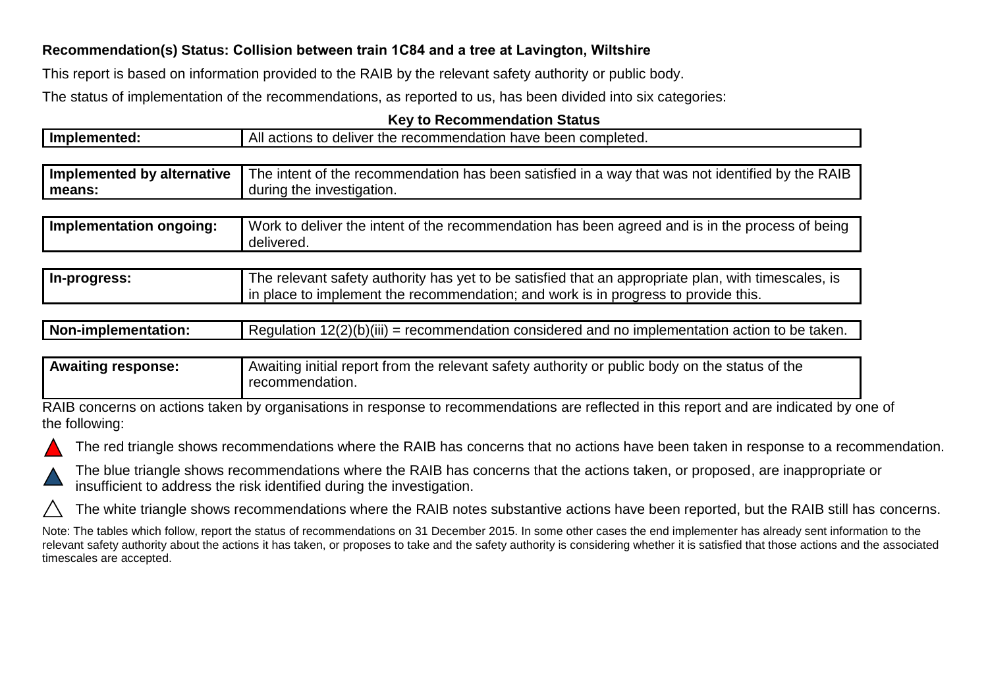## **Recommendation(s) Status: Collision between train 1C84 and a tree at Lavington, Wiltshire**

This report is based on information provided to the RAIB by the relevant safety authority or public body.

The status of implementation of the recommendations, as reported to us, has been divided into six categories:

## **Key to Recommendation Status**

| Implemented:               | All actions to deliver the recommendation have been completed.                                                                                                                            |  |
|----------------------------|-------------------------------------------------------------------------------------------------------------------------------------------------------------------------------------------|--|
|                            |                                                                                                                                                                                           |  |
| Implemented by alternative | The intent of the recommendation has been satisfied in a way that was not identified by the RAIB                                                                                          |  |
| means:                     | during the investigation.                                                                                                                                                                 |  |
|                            |                                                                                                                                                                                           |  |
| Implementation ongoing:    | Work to deliver the intent of the recommendation has been agreed and is in the process of being<br>delivered.                                                                             |  |
|                            |                                                                                                                                                                                           |  |
| In-progress:               | The relevant safety authority has yet to be satisfied that an appropriate plan, with timescales, is<br>in place to implement the recommendation; and work is in progress to provide this. |  |

| Regulation $12(2)(b)(iii)$ = recommendation considered and no implementation action to be taken.<br>Non-implementation: |
|-------------------------------------------------------------------------------------------------------------------------|
|-------------------------------------------------------------------------------------------------------------------------|

| <b>Awaiting response:</b> | Awaiting initial report from the relevant safety authority or public body on the status of the |
|---------------------------|------------------------------------------------------------------------------------------------|
|                           | recommendation.                                                                                |

RAIB concerns on actions taken by organisations in response to recommendations are reflected in this report and are indicated by one of the following:





The blue triangle shows recommendations where the RAIB has concerns that the actions taken, or proposed, are inappropriate or insufficient to address the risk identified during the investigation.

The white triangle shows recommendations where the RAIB notes substantive actions have been reported, but the RAIB still has concerns.

Note: The tables which follow, report the status of recommendations on 31 December 2015. In some other cases the end implementer has already sent information to the relevant safety authority about the actions it has taken, or proposes to take and the safety authority is considering whether it is satisfied that those actions and the associated timescales are accepted.